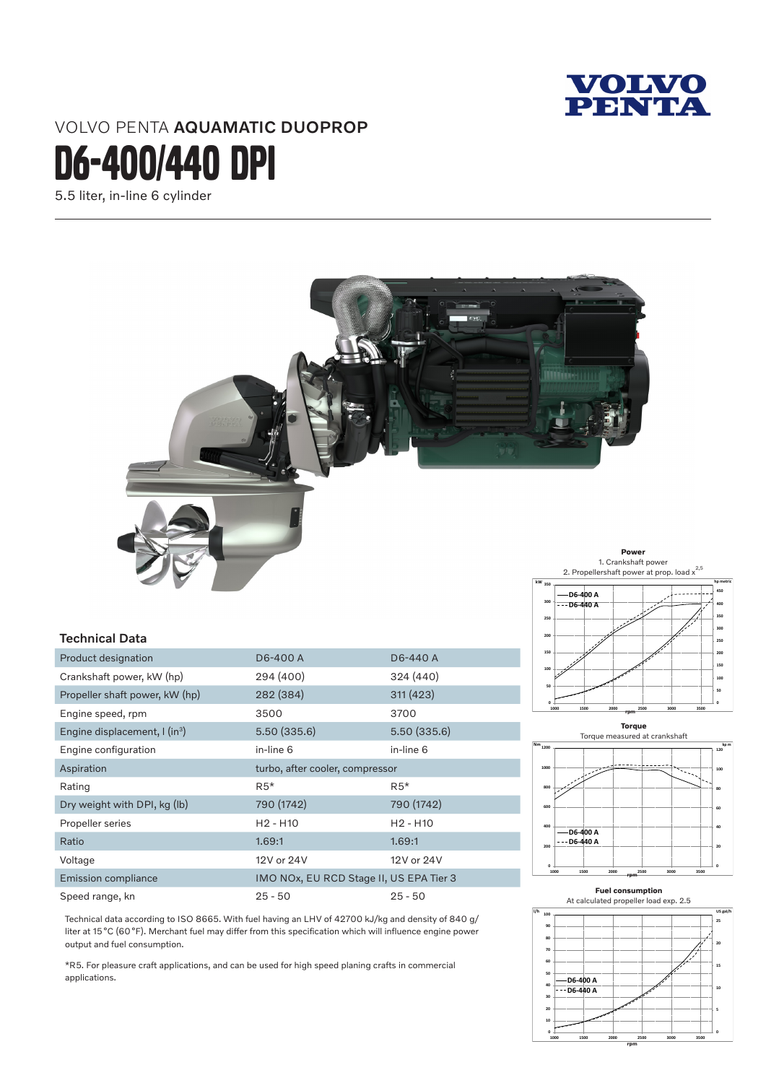

# VOLVO PENTA AQUAMATIC DUOPROP

D6-4oo/440 DPI

5.5 liter, in-line 6 cylinder



#### Technical Data

| Product designation                            | D6-400 A                                | D6-440 A     |
|------------------------------------------------|-----------------------------------------|--------------|
| Crankshaft power, kW (hp)                      | 294 (400)                               | 324 (440)    |
| Propeller shaft power, kW (hp)                 | 282 (384)                               | 311(423)     |
| Engine speed, rpm                              | 3500                                    | 3700         |
| Engine displacement, $\int$ (in <sup>3</sup> ) | 5.50 (335.6)                            | 5.50 (335.6) |
| Engine configuration                           | in-line 6                               | in-line 6    |
| Aspiration                                     | turbo, after cooler, compressor         |              |
| Rating                                         | $R5*$                                   | $R5*$        |
| Dry weight with DPI, kg (lb)                   | 790 (1742)                              | 790 (1742)   |
| Propeller series                               | $H2 - H10$                              | $H2 - H10$   |
| Ratio                                          | 1.69:1                                  | 1.69:1       |
| Voltage                                        | 12V or 24V                              | 12V or 24V   |
| <b>Emission compliance</b>                     | IMO NOx, EU RCD Stage II, US EPA Tier 3 |              |
| Speed range, kn                                | $25 - 50$                               | $25 - 50$    |





Technical data according to ISO 8665. With fuel having an LHV of 42700 kJ/kg and density of 840 g/ liter at 15°C (60°F). Merchant fuel may differ from this specification which will influence engine power output and fuel consumption.

\*R5. For pleasure craft applications, and can be used for high speed planing crafts in commercial applications.

# **Fuel consumption**